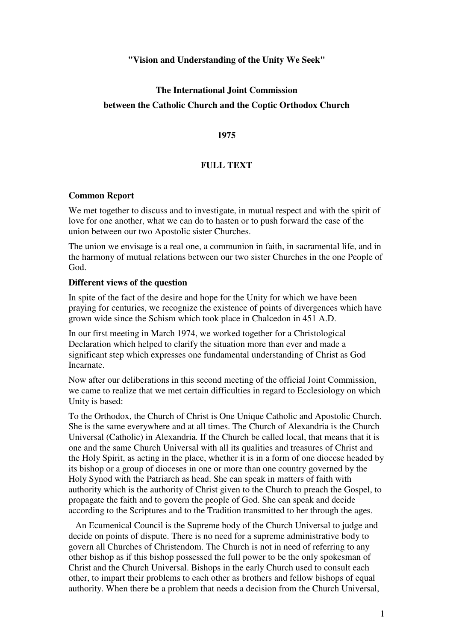### **"Vision and Understanding of the Unity We Seek"**

# **The International Joint Commission between the Catholic Church and the Coptic Orthodox Church**

#### **1975**

## **FULL TEXT**

#### **Common Report**

We met together to discuss and to investigate, in mutual respect and with the spirit of love for one another, what we can do to hasten or to push forward the case of the union between our two Apostolic sister Churches.

The union we envisage is a real one, a communion in faith, in sacramental life, and in the harmony of mutual relations between our two sister Churches in the one People of God.

#### **Different views of the question**

In spite of the fact of the desire and hope for the Unity for which we have been praying for centuries, we recognize the existence of points of divergences which have grown wide since the Schism which took place in Chalcedon in 451 A.D.

In our first meeting in March 1974, we worked together for a Christological Declaration which helped to clarify the situation more than ever and made a significant step which expresses one fundamental understanding of Christ as God Incarnate.

Now after our deliberations in this second meeting of the official Joint Commission, we came to realize that we met certain difficulties in regard to Ecclesiology on which Unity is based:

To the Orthodox, the Church of Christ is One Unique Catholic and Apostolic Church. She is the same everywhere and at all times. The Church of Alexandria is the Church Universal (Catholic) in Alexandria. If the Church be called local, that means that it is one and the same Church Universal with all its qualities and treasures of Christ and the Holy Spirit, as acting in the place, whether it is in a form of one diocese headed by its bishop or a group of dioceses in one or more than one country governed by the Holy Synod with the Patriarch as head. She can speak in matters of faith with authority which is the authority of Christ given to the Church to preach the Gospel, to propagate the faith and to govern the people of God. She can speak and decide according to the Scriptures and to the Tradition transmitted to her through the ages.

 An Ecumenical Council is the Supreme body of the Church Universal to judge and decide on points of dispute. There is no need for a supreme administrative body to govern all Churches of Christendom. The Church is not in need of referring to any other bishop as if this bishop possessed the full power to be the only spokesman of Christ and the Church Universal. Bishops in the early Church used to consult each other, to impart their problems to each other as brothers and fellow bishops of equal authority. When there be a problem that needs a decision from the Church Universal,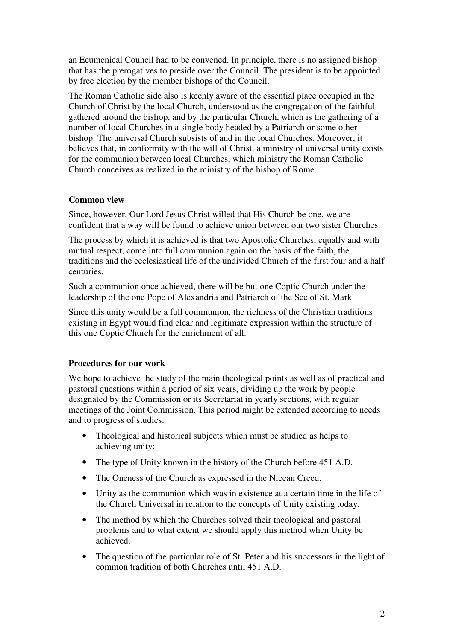an Ecumenical Council had to be convened. In principle, there is no assigned bishop that has the prerogatives to preside over the Council. The president is to be appointed by free election by the member bishops of the Council.

The Roman Catholic side also is keenly aware of the essential place occupied in the Church of Christ by the local Church, understood as the congregation of the faithful gathered around the bishop, and by the particular Church, which is the gathering of a number of local Churches in a single body headed by a Patriarch or some other bishop. The universal Church subsists of and in the local Churches. Moreover, it believes that, in conformity with the will of Christ, a ministry of universal unity exists for the communion between local Churches, which ministry the Roman Catholic Church conceives as realized in the ministry of the bishop of Rome.

## **Common view**

Since, however, Our Lord Jesus Christ willed that His Church be one, we are confident that a way will be found to achieve union between our two sister Churches.

The process by which it is achieved is that two Apostolic Churches, equally and with mutual respect, come into full communion again on the basis of the faith, the traditions and the ecclesiastical life of the undivided Church of the first four and a half centuries.

Such a communion once achieved, there will be but one Coptic Church under the leadership of the one Pope of Alexandria and Patriarch of the See of St. Mark.

Since this unity would be a full communion, the richness of the Christian traditions existing in Egypt would find clear and legitimate expression within the structure of this one Coptic Church for the enrichment of all.

## **Procedures for our work**

We hope to achieve the study of the main theological points as well as of practical and pastoral questions within a period of six years, dividing up the work by people designated by the Commission or its Secretariat in yearly sections, with regular meetings of the Joint Commission. This period might be extended according to needs and to progress of studies.

- Theological and historical subjects which must be studied as helps to achieving unity:
- The type of Unity known in the history of the Church before 451 A.D.
- The Oneness of the Church as expressed in the Nicean Creed.
- Unity as the communion which was in existence at a certain time in the life of the Church Universal in relation to the concepts of Unity existing today.
- The method by which the Churches solved their theological and pastoral problems and to what extent we should apply this method when Unity be achieved.
- The question of the particular role of St. Peter and his successors in the light of common tradition of both Churches until 451 A.D.